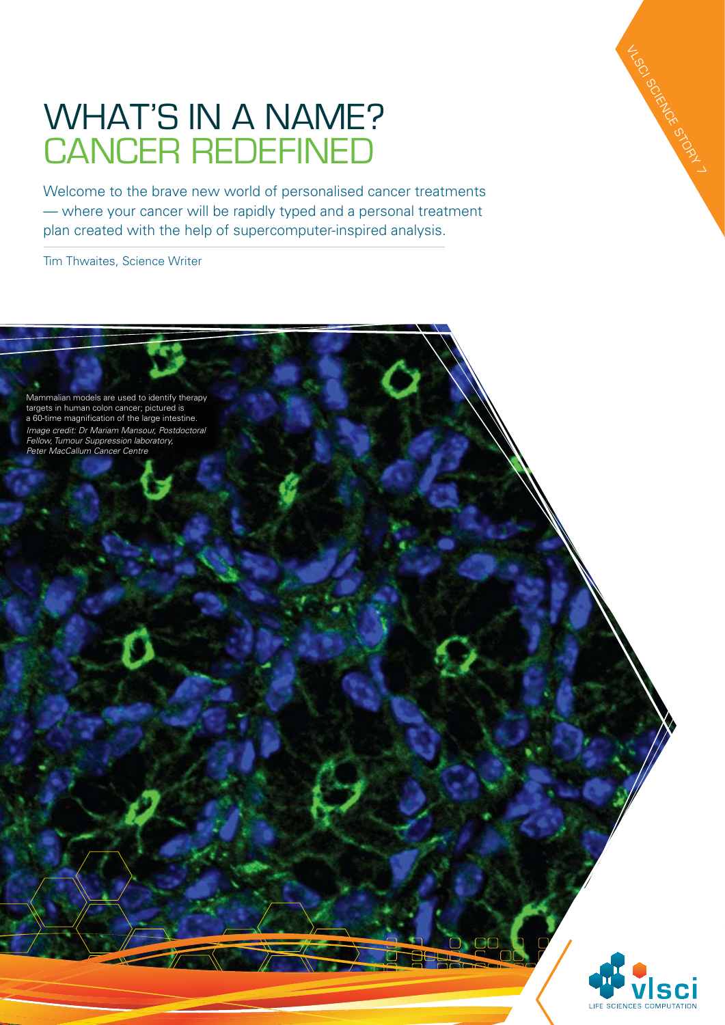## WHAT'S IN A NAME? Cancer redefined

Welcome to the brave new world of personalised cancer treatments — where your cancer will be rapidly typed and a personal treatment plan created with the help of supercomputer-inspired analysis.

Tim Thwaites, Science Writer

Mammalian models are used to identify therapy targets in human colon cancer; pictured is a 60-time magnification of the large intestine. *Image credit: Dr Mariam Mansour, Postdoctoral Fellow, Tumour Suppression laboratory, Peter MacCallum Cancer Centre*



VLSCI SCIENCE STORY 1